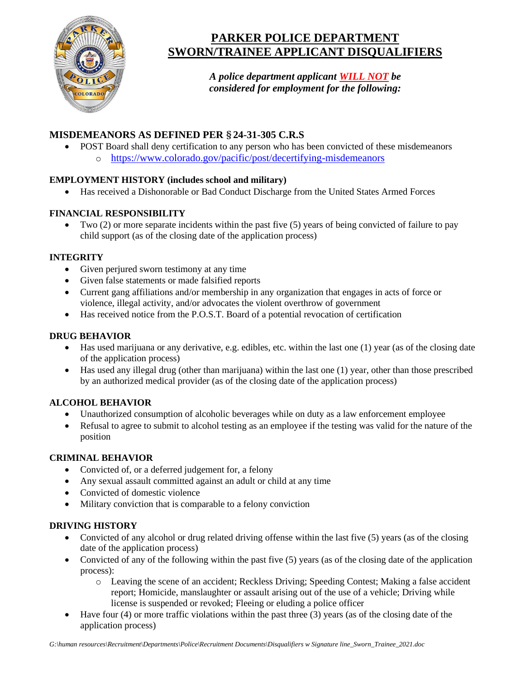

# **PARKER POLICE DEPARTMENT SWORN/TRAINEE APPLICANT DISQUALIFIERS**

*A police department applicant WILL NOT be considered for employment for the following:*

# **MISDEMEANORS AS DEFINED PER §24-31-305 C.R.S**

• POST Board shall deny certification to any person who has been convicted of these misdemeanors o <https://www.colorado.gov/pacific/post/decertifying-misdemeanors>

## **EMPLOYMENT HISTORY (includes school and military)**

• Has received a Dishonorable or Bad Conduct Discharge from the United States Armed Forces

## **FINANCIAL RESPONSIBILITY**

• Two (2) or more separate incidents within the past five (5) years of being convicted of failure to pay child support (as of the closing date of the application process)

## **INTEGRITY**

- Given perjured sworn testimony at any time
- Given false statements or made falsified reports
- Current gang affiliations and/or membership in any organization that engages in acts of force or violence, illegal activity, and/or advocates the violent overthrow of government
- Has received notice from the P.O.S.T. Board of a potential revocation of certification

#### **DRUG BEHAVIOR**

- Has used marijuana or any derivative, e.g. edibles, etc. within the last one (1) year (as of the closing date of the application process)
- Has used any illegal drug (other than marijuana) within the last one (1) year, other than those prescribed by an authorized medical provider (as of the closing date of the application process)

## **ALCOHOL BEHAVIOR**

- Unauthorized consumption of alcoholic beverages while on duty as a law enforcement employee
- Refusal to agree to submit to alcohol testing as an employee if the testing was valid for the nature of the position

## **CRIMINAL BEHAVIOR**

- Convicted of, or a deferred judgement for, a felony
- Any sexual assault committed against an adult or child at any time
- Convicted of domestic violence
- Military conviction that is comparable to a felony conviction

## **DRIVING HISTORY**

- Convicted of any alcohol or drug related driving offense within the last five (5) years (as of the closing date of the application process)
- Convicted of any of the following within the past five (5) years (as of the closing date of the application process):
	- o Leaving the scene of an accident; Reckless Driving; Speeding Contest; Making a false accident report; Homicide, manslaughter or assault arising out of the use of a vehicle; Driving while license is suspended or revoked; Fleeing or eluding a police officer
- Have four (4) or more traffic violations within the past three (3) years (as of the closing date of the application process)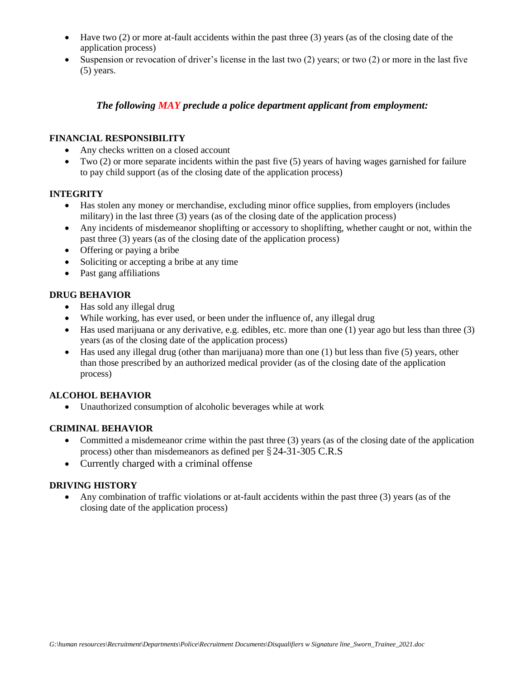- Have two (2) or more at-fault accidents within the past three (3) years (as of the closing date of the application process)
- Suspension or revocation of driver's license in the last two (2) years; or two (2) or more in the last five (5) years.

### *The following MAY preclude a police department applicant from employment:*

#### **FINANCIAL RESPONSIBILITY**

- Any checks written on a closed account
- Two  $(2)$  or more separate incidents within the past five  $(5)$  years of having wages garnished for failure to pay child support (as of the closing date of the application process)

#### **INTEGRITY**

- Has stolen any money or merchandise, excluding minor office supplies, from employers (includes military) in the last three (3) years (as of the closing date of the application process)
- Any incidents of misdemeanor shoplifting or accessory to shoplifting, whether caught or not, within the past three (3) years (as of the closing date of the application process)
- Offering or paying a bribe
- Soliciting or accepting a bribe at any time
- Past gang affiliations

#### **DRUG BEHAVIOR**

- Has sold any illegal drug
- While working, has ever used, or been under the influence of, any illegal drug
- Has used marijuana or any derivative, e.g. edibles, etc. more than one (1) year ago but less than three (3) years (as of the closing date of the application process)
- Has used any illegal drug (other than marijuana) more than one (1) but less than five (5) years, other than those prescribed by an authorized medical provider (as of the closing date of the application process)

#### **ALCOHOL BEHAVIOR**

• Unauthorized consumption of alcoholic beverages while at work

#### **CRIMINAL BEHAVIOR**

- Committed a misdemeanor crime within the past three (3) years (as of the closing date of the application process) other than misdemeanors as defined per § 24-31-305 C.R.S
- Currently charged with a criminal offense

#### **DRIVING HISTORY**

• Any combination of traffic violations or at-fault accidents within the past three (3) years (as of the closing date of the application process)